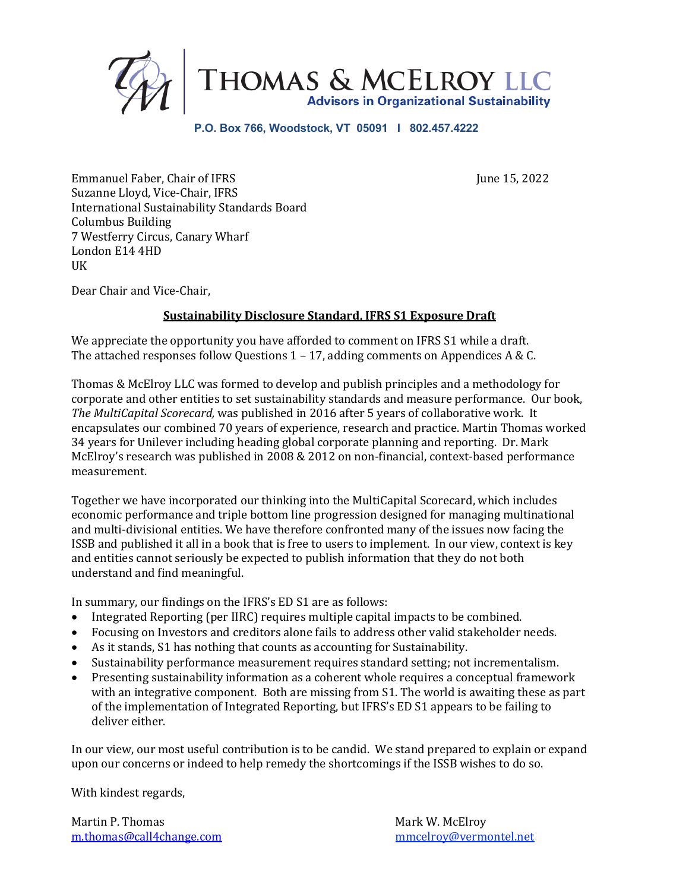

#### **P.O. Box 766, Woodstock, VT 05091 I 802.457.4222**

Emmanuel Faber, Chair of IFRS June 15, 2022 Suzanne Lloyd, Vice-Chair, IFRS International Sustainability Standards Board Columbus Building 7 Westferry Circus, Canary Wharf London E14 4HD UK

Dear Chair and Vice-Chair,

# **Sustainability Disclosure Standard, IFRS S1 Exposure Draft**

We appreciate the opportunity you have afforded to comment on IFRS S1 while a draft. The attached responses follow Questions  $1 - 17$ , adding comments on Appendices A & C.

Thomas & McElroy LLC was formed to develop and publish principles and a methodology for corporate and other entities to set sustainability standards and measure performance. Our book, The MultiCapital Scorecard, was published in 2016 after 5 years of collaborative work. It encapsulates our combined 70 years of experience, research and practice. Martin Thomas worked 34 years for Unilever including heading global corporate planning and reporting. Dr. Mark McElroy's research was published in 2008 & 2012 on non-financial, context-based performance measurement. 

Together we have incorporated our thinking into the MultiCapital Scorecard, which includes economic performance and triple bottom line progression designed for managing multinational and multi-divisional entities. We have therefore confronted many of the issues now facing the ISSB and published it all in a book that is free to users to implement. In our view, context is key and entities cannot seriously be expected to publish information that they do not both understand and find meaningful.

In summary, our findings on the IFRS's ED S1 are as follows:

- Integrated Reporting (per IIRC) requires multiple capital impacts to be combined.
- Focusing on Investors and creditors alone fails to address other valid stakeholder needs.
- As it stands, S1 has nothing that counts as accounting for Sustainability.
- Sustainability performance measurement requires standard setting; not incrementalism.
- Presenting sustainability information as a coherent whole requires a conceptual framework with an integrative component. Both are missing from S1. The world is awaiting these as part of the implementation of Integrated Reporting, but IFRS's ED S1 appears to be failing to deliver either.

In our view, our most useful contribution is to be candid. We stand prepared to explain or expand upon our concerns or indeed to help remedy the shortcomings if the ISSB wishes to do so.

With kindest regards,

Martin P. Thomas **Mark W. McElroy** Mark W. McElroy m.thomas@call4change.com mmcelroy@vermontel.net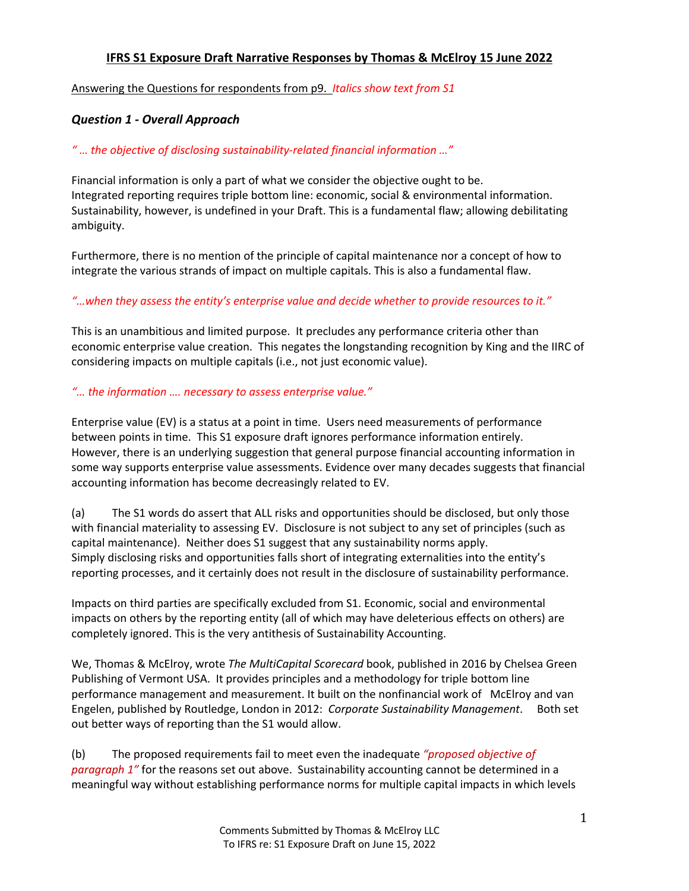### **IFRS S1 Exposure Draft Narrative Responses by Thomas & McElroy 15 June 2022**

Answering the Questions for respondents from p9. *Italics show text from S1*

### *Question 1 - Overall Approach*

### *" … the objective of disclosing sustainability-related financial information …"*

Financial information is only a part of what we consider the objective ought to be. Integrated reporting requires triple bottom line: economic, social & environmental information. Sustainability, however, is undefined in your Draft. This is a fundamental flaw; allowing debilitating ambiguity.

Furthermore, there is no mention of the principle of capital maintenance nor a concept of how to integrate the various strands of impact on multiple capitals. This is also a fundamental flaw.

### *"…when they assess the entity's enterprise value and decide whether to provide resources to it."*

This is an unambitious and limited purpose. It precludes any performance criteria other than economic enterprise value creation. This negates the longstanding recognition by King and the IIRC of considering impacts on multiple capitals (i.e., not just economic value).

### *"… the information …. necessary to assess enterprise value."*

Enterprise value (EV) is a status at a point in time. Users need measurements of performance between points in time. This S1 exposure draft ignores performance information entirely. However, there is an underlying suggestion that general purpose financial accounting information in some way supports enterprise value assessments. Evidence over many decades suggests that financial accounting information has become decreasingly related to EV.

(a) The S1 words do assert that ALL risks and opportunities should be disclosed, but only those with financial materiality to assessing EV. Disclosure is not subject to any set of principles (such as capital maintenance). Neither does S1 suggest that any sustainability norms apply. Simply disclosing risks and opportunities falls short of integrating externalities into the entity's reporting processes, and it certainly does not result in the disclosure of sustainability performance.

Impacts on third parties are specifically excluded from S1. Economic, social and environmental impacts on others by the reporting entity (all of which may have deleterious effects on others) are completely ignored. This is the very antithesis of Sustainability Accounting.

We, Thomas & McElroy, wrote *The MultiCapital Scorecard* book, published in 2016 by Chelsea Green Publishing of Vermont USA. It provides principles and a methodology for triple bottom line performance management and measurement. It built on the nonfinancial work of McElroy and van Engelen, published by Routledge, London in 2012: *Corporate Sustainability Management*. Both set out better ways of reporting than the S1 would allow.

(b) The proposed requirements fail to meet even the inadequate *"proposed objective of paragraph 1"* for the reasons set out above. Sustainability accounting cannot be determined in a meaningful way without establishing performance norms for multiple capital impacts in which levels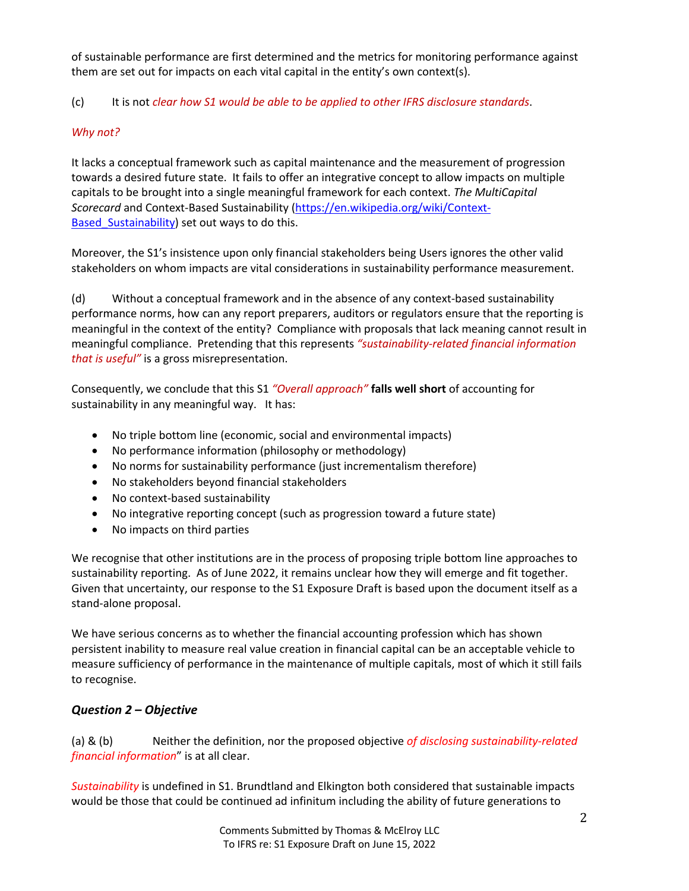of sustainable performance are first determined and the metrics for monitoring performance against them are set out for impacts on each vital capital in the entity's own context(s).

# (c) It is not *clear how S1 would be able to be applied to other IFRS disclosure standards*.

# *Why not?*

It lacks a conceptual framework such as capital maintenance and the measurement of progression towards a desired future state. It fails to offer an integrative concept to allow impacts on multiple capitals to be brought into a single meaningful framework for each context. *The MultiCapital Scorecard* and Context-Based Sustainability (https://en.wikipedia.org/wiki/Context-Based Sustainability) set out ways to do this.

Moreover, the S1's insistence upon only financial stakeholders being Users ignores the other valid stakeholders on whom impacts are vital considerations in sustainability performance measurement.

(d) Without a conceptual framework and in the absence of any context-based sustainability performance norms, how can any report preparers, auditors or regulators ensure that the reporting is meaningful in the context of the entity? Compliance with proposals that lack meaning cannot result in meaningful compliance. Pretending that this represents *"sustainability-related financial information that is useful"* is a gross misrepresentation.

Consequently, we conclude that this S1 *"Overall approach"* **falls well short** of accounting for sustainability in any meaningful way. It has:

- No triple bottom line (economic, social and environmental impacts)
- No performance information (philosophy or methodology)
- No norms for sustainability performance (just incrementalism therefore)
- No stakeholders beyond financial stakeholders
- No context-based sustainability
- No integrative reporting concept (such as progression toward a future state)
- No impacts on third parties

We recognise that other institutions are in the process of proposing triple bottom line approaches to sustainability reporting. As of June 2022, it remains unclear how they will emerge and fit together. Given that uncertainty, our response to the S1 Exposure Draft is based upon the document itself as a stand-alone proposal.

We have serious concerns as to whether the financial accounting profession which has shown persistent inability to measure real value creation in financial capital can be an acceptable vehicle to measure sufficiency of performance in the maintenance of multiple capitals, most of which it still fails to recognise.

# *Question 2 – Objective*

(a) & (b) Neither the definition, nor the proposed objective *of disclosing sustainability-related financial information*" is at all clear.

*Sustainability* is undefined in S1. Brundtland and Elkington both considered that sustainable impacts would be those that could be continued ad infinitum including the ability of future generations to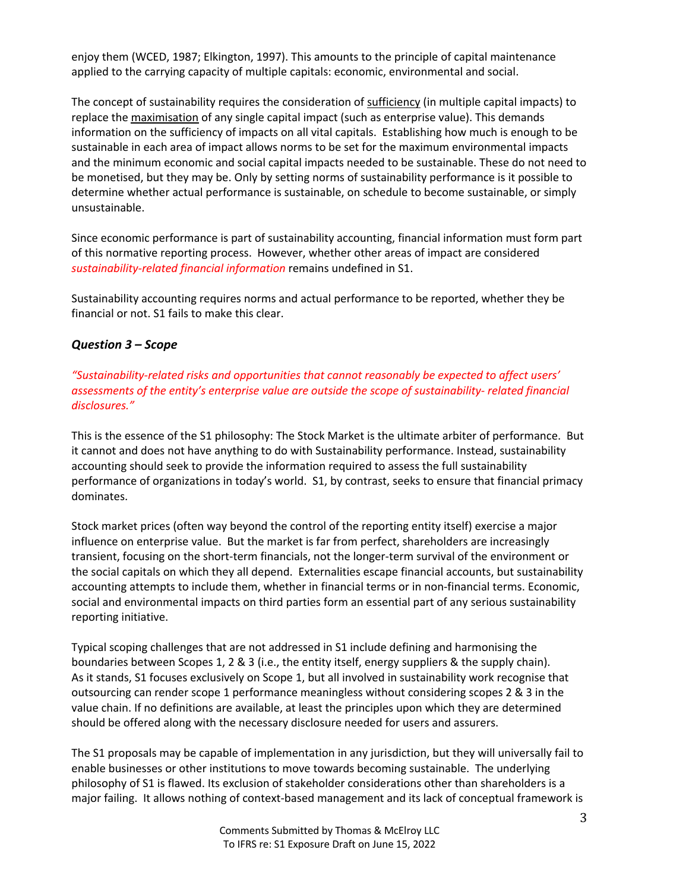enjoy them (WCED, 1987; Elkington, 1997). This amounts to the principle of capital maintenance applied to the carrying capacity of multiple capitals: economic, environmental and social.

The concept of sustainability requires the consideration of sufficiency (in multiple capital impacts) to replace the maximisation of any single capital impact (such as enterprise value). This demands information on the sufficiency of impacts on all vital capitals. Establishing how much is enough to be sustainable in each area of impact allows norms to be set for the maximum environmental impacts and the minimum economic and social capital impacts needed to be sustainable. These do not need to be monetised, but they may be. Only by setting norms of sustainability performance is it possible to determine whether actual performance is sustainable, on schedule to become sustainable, or simply unsustainable.

Since economic performance is part of sustainability accounting, financial information must form part of this normative reporting process. However, whether other areas of impact are considered *sustainability-related financial information* remains undefined in S1.

Sustainability accounting requires norms and actual performance to be reported, whether they be financial or not. S1 fails to make this clear.

# *Question 3 – Scope*

*"Sustainability-related risks and opportunities that cannot reasonably be expected to affect users' assessments of the entity's enterprise value are outside the scope of sustainability- related financial disclosures."*

This is the essence of the S1 philosophy: The Stock Market is the ultimate arbiter of performance. But it cannot and does not have anything to do with Sustainability performance. Instead, sustainability accounting should seek to provide the information required to assess the full sustainability performance of organizations in today's world. S1, by contrast, seeks to ensure that financial primacy dominates.

Stock market prices (often way beyond the control of the reporting entity itself) exercise a major influence on enterprise value. But the market is far from perfect, shareholders are increasingly transient, focusing on the short-term financials, not the longer-term survival of the environment or the social capitals on which they all depend. Externalities escape financial accounts, but sustainability accounting attempts to include them, whether in financial terms or in non-financial terms. Economic, social and environmental impacts on third parties form an essential part of any serious sustainability reporting initiative.

Typical scoping challenges that are not addressed in S1 include defining and harmonising the boundaries between Scopes 1, 2 & 3 (i.e., the entity itself, energy suppliers & the supply chain). As it stands, S1 focuses exclusively on Scope 1, but all involved in sustainability work recognise that outsourcing can render scope 1 performance meaningless without considering scopes 2 & 3 in the value chain. If no definitions are available, at least the principles upon which they are determined should be offered along with the necessary disclosure needed for users and assurers.

The S1 proposals may be capable of implementation in any jurisdiction, but they will universally fail to enable businesses or other institutions to move towards becoming sustainable. The underlying philosophy of S1 is flawed. Its exclusion of stakeholder considerations other than shareholders is a major failing. It allows nothing of context-based management and its lack of conceptual framework is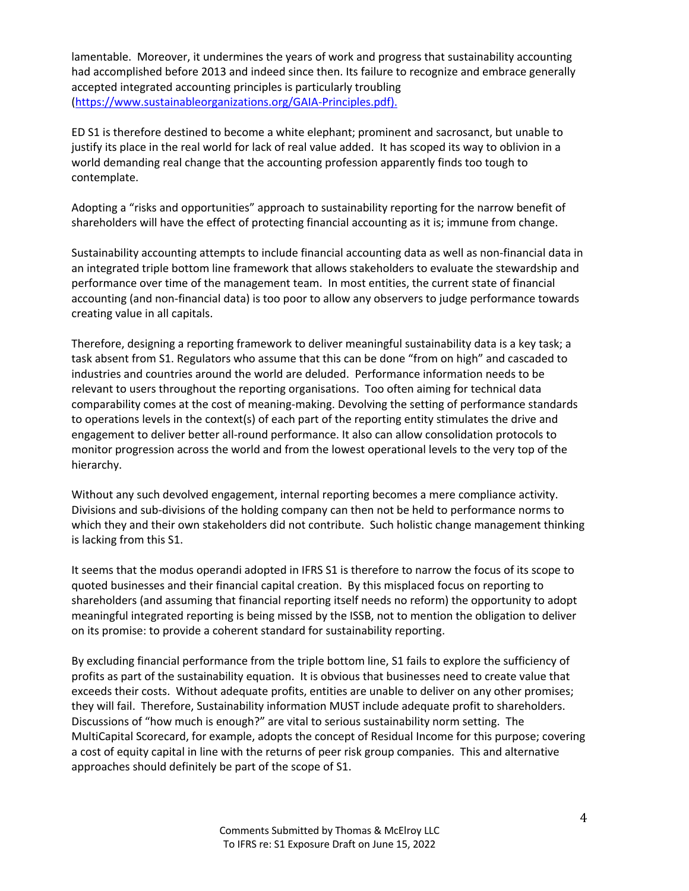lamentable. Moreover, it undermines the years of work and progress that sustainability accounting had accomplished before 2013 and indeed since then. Its failure to recognize and embrace generally accepted integrated accounting principles is particularly troubling (https://www.sustainableorganizations.org/GAIA-Principles.pdf).

ED S1 is therefore destined to become a white elephant; prominent and sacrosanct, but unable to justify its place in the real world for lack of real value added. It has scoped its way to oblivion in a world demanding real change that the accounting profession apparently finds too tough to contemplate.

Adopting a "risks and opportunities" approach to sustainability reporting for the narrow benefit of shareholders will have the effect of protecting financial accounting as it is; immune from change.

Sustainability accounting attempts to include financial accounting data as well as non-financial data in an integrated triple bottom line framework that allows stakeholders to evaluate the stewardship and performance over time of the management team. In most entities, the current state of financial accounting (and non-financial data) is too poor to allow any observers to judge performance towards creating value in all capitals.

Therefore, designing a reporting framework to deliver meaningful sustainability data is a key task; a task absent from S1. Regulators who assume that this can be done "from on high" and cascaded to industries and countries around the world are deluded. Performance information needs to be relevant to users throughout the reporting organisations. Too often aiming for technical data comparability comes at the cost of meaning-making. Devolving the setting of performance standards to operations levels in the context(s) of each part of the reporting entity stimulates the drive and engagement to deliver better all-round performance. It also can allow consolidation protocols to monitor progression across the world and from the lowest operational levels to the very top of the hierarchy.

Without any such devolved engagement, internal reporting becomes a mere compliance activity. Divisions and sub-divisions of the holding company can then not be held to performance norms to which they and their own stakeholders did not contribute. Such holistic change management thinking is lacking from this S1.

It seems that the modus operandi adopted in IFRS S1 is therefore to narrow the focus of its scope to quoted businesses and their financial capital creation. By this misplaced focus on reporting to shareholders (and assuming that financial reporting itself needs no reform) the opportunity to adopt meaningful integrated reporting is being missed by the ISSB, not to mention the obligation to deliver on its promise: to provide a coherent standard for sustainability reporting.

By excluding financial performance from the triple bottom line, S1 fails to explore the sufficiency of profits as part of the sustainability equation. It is obvious that businesses need to create value that exceeds their costs. Without adequate profits, entities are unable to deliver on any other promises; they will fail. Therefore, Sustainability information MUST include adequate profit to shareholders. Discussions of "how much is enough?" are vital to serious sustainability norm setting. The MultiCapital Scorecard, for example, adopts the concept of Residual Income for this purpose; covering a cost of equity capital in line with the returns of peer risk group companies. This and alternative approaches should definitely be part of the scope of S1.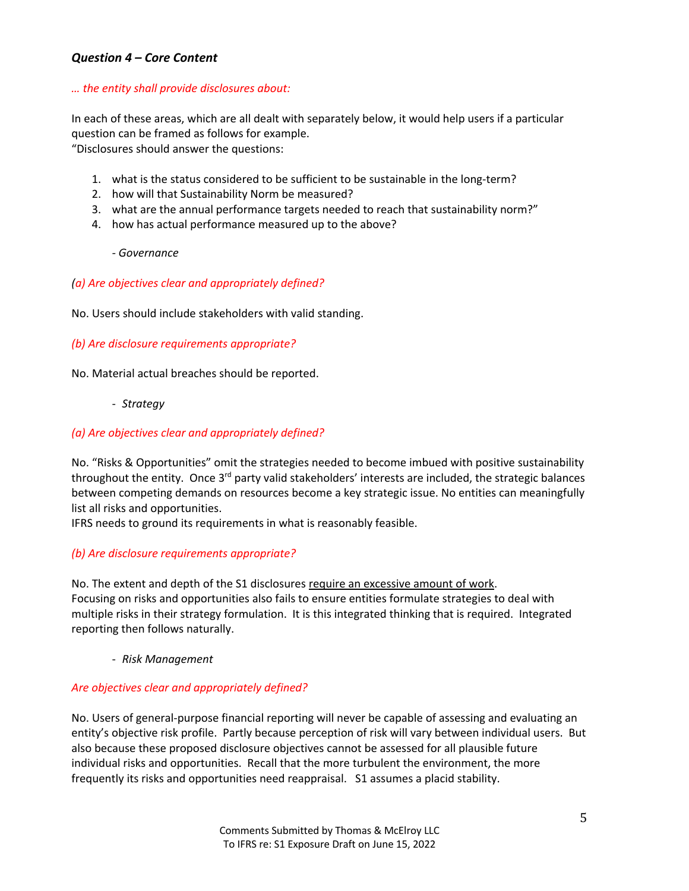# *Question 4 – Core Content*

### *… the entity shall provide disclosures about:*

In each of these areas, which are all dealt with separately below, it would help users if a particular question can be framed as follows for example. "Disclosures should answer the questions:

- 1. what is the status considered to be sufficient to be sustainable in the long-term?
- 2. how will that Sustainability Norm be measured?
- 3. what are the annual performance targets needed to reach that sustainability norm?"
- 4. how has actual performance measured up to the above?

#### *- Governance*

#### *(a) Are objectives clear and appropriately defined?*

No. Users should include stakeholders with valid standing.

#### *(b) Are disclosure requirements appropriate?*

No. Material actual breaches should be reported.

- *Strategy*

#### *(a) Are objectives clear and appropriately defined?*

No. "Risks & Opportunities" omit the strategies needed to become imbued with positive sustainability throughout the entity. Once 3<sup>rd</sup> party valid stakeholders' interests are included, the strategic balances between competing demands on resources become a key strategic issue. No entities can meaningfully list all risks and opportunities.

IFRS needs to ground its requirements in what is reasonably feasible.

### *(b) Are disclosure requirements appropriate?*

No. The extent and depth of the S1 disclosures require an excessive amount of work. Focusing on risks and opportunities also fails to ensure entities formulate strategies to deal with multiple risks in their strategy formulation. It is this integrated thinking that is required. Integrated reporting then follows naturally.

- *Risk Management*

### *Are objectives clear and appropriately defined?*

No. Users of general-purpose financial reporting will never be capable of assessing and evaluating an entity's objective risk profile. Partly because perception of risk will vary between individual users. But also because these proposed disclosure objectives cannot be assessed for all plausible future individual risks and opportunities. Recall that the more turbulent the environment, the more frequently its risks and opportunities need reappraisal. S1 assumes a placid stability.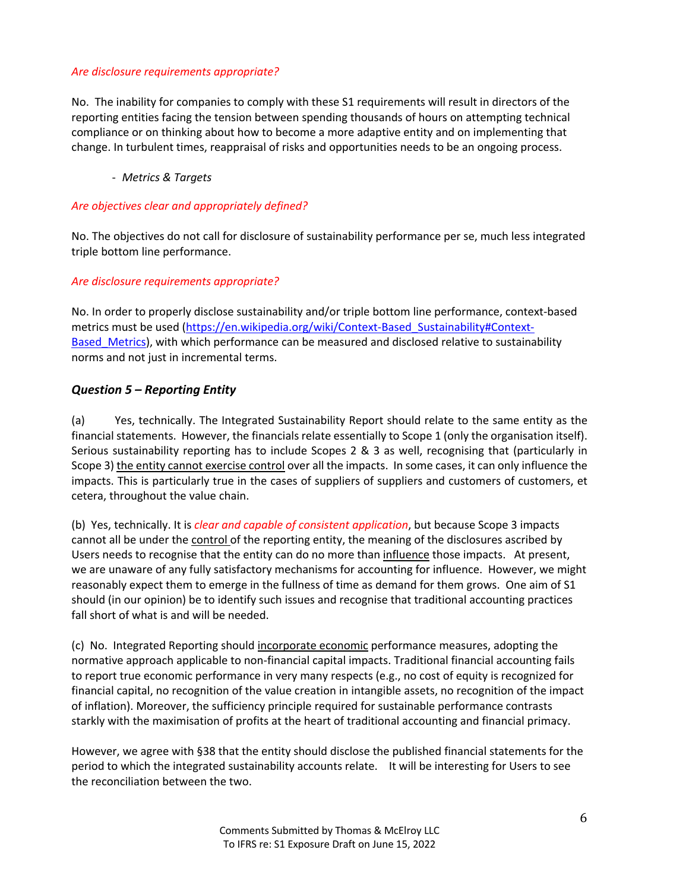### *Are disclosure requirements appropriate?*

No. The inability for companies to comply with these S1 requirements will result in directors of the reporting entities facing the tension between spending thousands of hours on attempting technical compliance or on thinking about how to become a more adaptive entity and on implementing that change. In turbulent times, reappraisal of risks and opportunities needs to be an ongoing process.

- *Metrics & Targets*

#### *Are objectives clear and appropriately defined?*

No. The objectives do not call for disclosure of sustainability performance per se, much less integrated triple bottom line performance.

### *Are disclosure requirements appropriate?*

No. In order to properly disclose sustainability and/or triple bottom line performance, context-based metrics must be used (https://en.wikipedia.org/wiki/Context-Based\_Sustainability#Context-Based Metrics), with which performance can be measured and disclosed relative to sustainability norms and not just in incremental terms.

### *Question 5 – Reporting Entity*

(a) Yes, technically. The Integrated Sustainability Report should relate to the same entity as the financial statements. However, the financials relate essentially to Scope 1 (only the organisation itself). Serious sustainability reporting has to include Scopes 2 & 3 as well, recognising that (particularly in Scope 3) the entity cannot exercise control over all the impacts. In some cases, it can only influence the impacts. This is particularly true in the cases of suppliers of suppliers and customers of customers, et cetera, throughout the value chain.

(b) Yes, technically. It is *clear and capable of consistent application*, but because Scope 3 impacts cannot all be under the control of the reporting entity, the meaning of the disclosures ascribed by Users needs to recognise that the entity can do no more than influence those impacts. At present, we are unaware of any fully satisfactory mechanisms for accounting for influence. However, we might reasonably expect them to emerge in the fullness of time as demand for them grows. One aim of S1 should (in our opinion) be to identify such issues and recognise that traditional accounting practices fall short of what is and will be needed.

(c) No. Integrated Reporting should incorporate economic performance measures, adopting the normative approach applicable to non-financial capital impacts. Traditional financial accounting fails to report true economic performance in very many respects (e.g., no cost of equity is recognized for financial capital, no recognition of the value creation in intangible assets, no recognition of the impact of inflation). Moreover, the sufficiency principle required for sustainable performance contrasts starkly with the maximisation of profits at the heart of traditional accounting and financial primacy.

However, we agree with §38 that the entity should disclose the published financial statements for the period to which the integrated sustainability accounts relate. It will be interesting for Users to see the reconciliation between the two.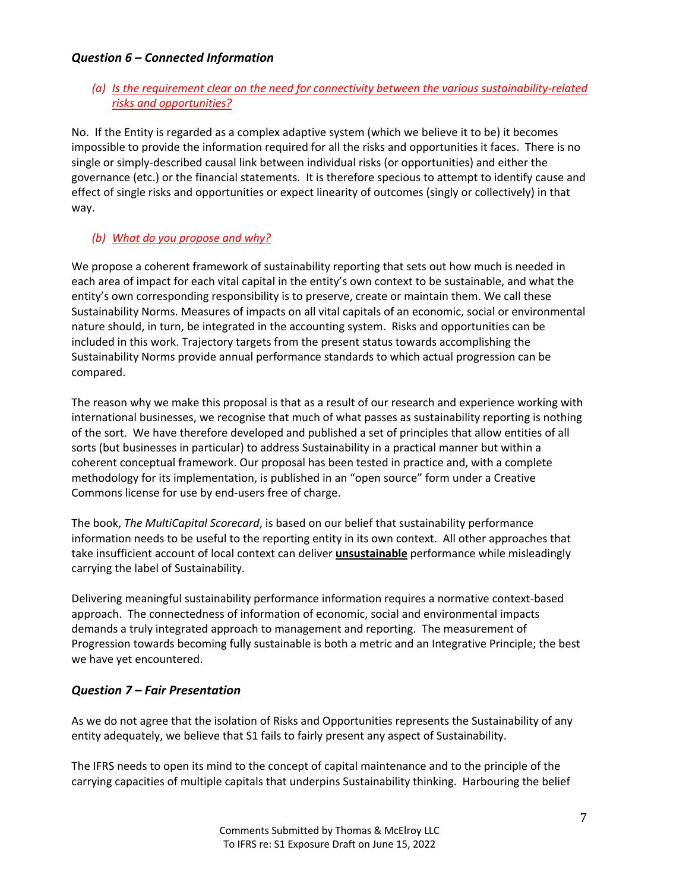# *Question 6 – Connected Information*

# *(a) Is the requirement clear on the need for connectivity between the various sustainability-related risks and opportunities?*

No. If the Entity is regarded as a complex adaptive system (which we believe it to be) it becomes impossible to provide the information required for all the risks and opportunities it faces. There is no single or simply-described causal link between individual risks (or opportunities) and either the governance (etc.) or the financial statements. It is therefore specious to attempt to identify cause and effect of single risks and opportunities or expect linearity of outcomes (singly or collectively) in that way.

### *(b) What do you propose and why?*

We propose a coherent framework of sustainability reporting that sets out how much is needed in each area of impact for each vital capital in the entity's own context to be sustainable, and what the entity's own corresponding responsibility is to preserve, create or maintain them. We call these Sustainability Norms. Measures of impacts on all vital capitals of an economic, social or environmental nature should, in turn, be integrated in the accounting system. Risks and opportunities can be included in this work. Trajectory targets from the present status towards accomplishing the Sustainability Norms provide annual performance standards to which actual progression can be compared.

The reason why we make this proposal is that as a result of our research and experience working with international businesses, we recognise that much of what passes as sustainability reporting is nothing of the sort. We have therefore developed and published a set of principles that allow entities of all sorts (but businesses in particular) to address Sustainability in a practical manner but within a coherent conceptual framework. Our proposal has been tested in practice and, with a complete methodology for its implementation, is published in an "open source" form under a Creative Commons license for use by end-users free of charge.

The book, *The MultiCapital Scorecard*, is based on our belief that sustainability performance information needs to be useful to the reporting entity in its own context. All other approaches that take insufficient account of local context can deliver **unsustainable** performance while misleadingly carrying the label of Sustainability.

Delivering meaningful sustainability performance information requires a normative context-based approach. The connectedness of information of economic, social and environmental impacts demands a truly integrated approach to management and reporting. The measurement of Progression towards becoming fully sustainable is both a metric and an Integrative Principle; the best we have yet encountered.

# *Question 7 – Fair Presentation*

As we do not agree that the isolation of Risks and Opportunities represents the Sustainability of any entity adequately, we believe that S1 fails to fairly present any aspect of Sustainability.

The IFRS needs to open its mind to the concept of capital maintenance and to the principle of the carrying capacities of multiple capitals that underpins Sustainability thinking. Harbouring the belief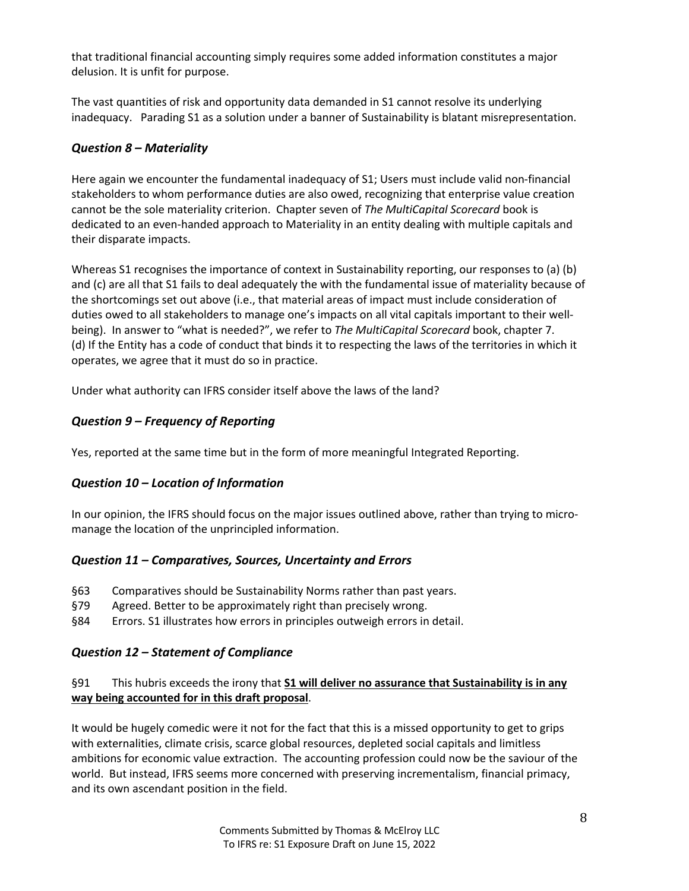that traditional financial accounting simply requires some added information constitutes a major delusion. It is unfit for purpose.

The vast quantities of risk and opportunity data demanded in S1 cannot resolve its underlying inadequacy. Parading S1 as a solution under a banner of Sustainability is blatant misrepresentation.

# *Question 8 – Materiality*

Here again we encounter the fundamental inadequacy of S1; Users must include valid non-financial stakeholders to whom performance duties are also owed, recognizing that enterprise value creation cannot be the sole materiality criterion. Chapter seven of *The MultiCapital Scorecard* book is dedicated to an even-handed approach to Materiality in an entity dealing with multiple capitals and their disparate impacts.

Whereas S1 recognises the importance of context in Sustainability reporting, our responses to (a) (b) and (c) are all that S1 fails to deal adequately the with the fundamental issue of materiality because of the shortcomings set out above (i.e., that material areas of impact must include consideration of duties owed to all stakeholders to manage one's impacts on all vital capitals important to their wellbeing). In answer to "what is needed?", we refer to *The MultiCapital Scorecard* book, chapter 7. (d) If the Entity has a code of conduct that binds it to respecting the laws of the territories in which it operates, we agree that it must do so in practice.

Under what authority can IFRS consider itself above the laws of the land?

# *Question 9 – Frequency of Reporting*

Yes, reported at the same time but in the form of more meaningful Integrated Reporting.

# *Question 10 – Location of Information*

In our opinion, the IFRS should focus on the major issues outlined above, rather than trying to micromanage the location of the unprincipled information.

# *Question 11 – Comparatives, Sources, Uncertainty and Errors*

- §63 Comparatives should be Sustainability Norms rather than past years.
- §79 Agreed. Better to be approximately right than precisely wrong.
- §84 Errors. S1 illustrates how errors in principles outweigh errors in detail.

# *Question 12 – Statement of Compliance*

# §91 This hubris exceeds the irony that **S1 will deliver no assurance that Sustainability is in any way being accounted for in this draft proposal**.

It would be hugely comedic were it not for the fact that this is a missed opportunity to get to grips with externalities, climate crisis, scarce global resources, depleted social capitals and limitless ambitions for economic value extraction. The accounting profession could now be the saviour of the world. But instead, IFRS seems more concerned with preserving incrementalism, financial primacy, and its own ascendant position in the field.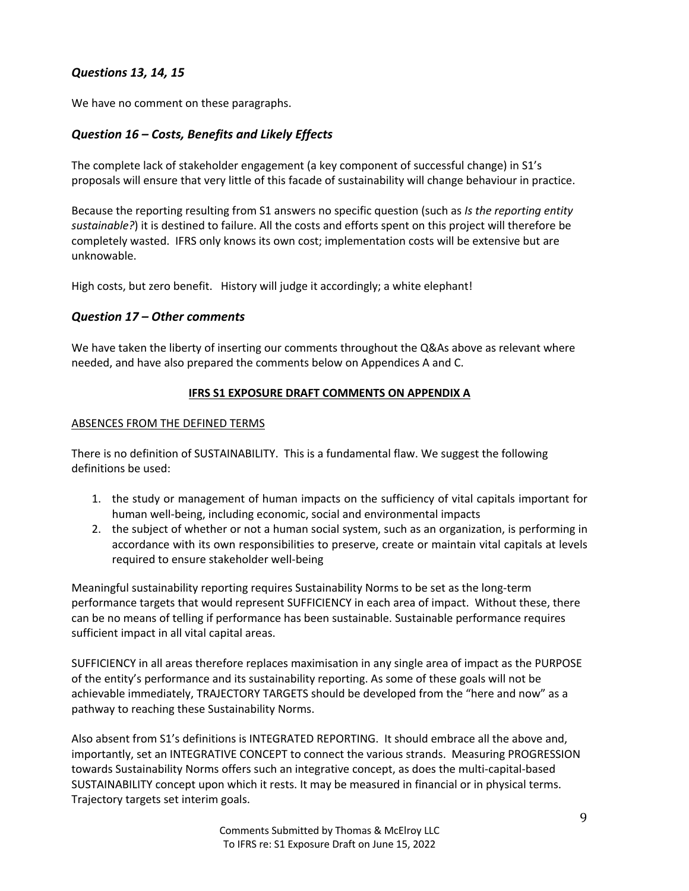# *Questions 13, 14, 15*

We have no comment on these paragraphs.

# *Question 16 – Costs, Benefits and Likely Effects*

The complete lack of stakeholder engagement (a key component of successful change) in S1's proposals will ensure that very little of this facade of sustainability will change behaviour in practice.

Because the reporting resulting from S1 answers no specific question (such as *Is the reporting entity sustainable?*) it is destined to failure. All the costs and efforts spent on this project will therefore be completely wasted. IFRS only knows its own cost; implementation costs will be extensive but are unknowable.

High costs, but zero benefit. History will judge it accordingly; a white elephant!

### *Question 17 – Other comments*

We have taken the liberty of inserting our comments throughout the Q&As above as relevant where needed, and have also prepared the comments below on Appendices A and C.

### **IFRS S1 EXPOSURE DRAFT COMMENTS ON APPENDIX A**

#### ABSENCES FROM THE DEFINED TERMS

There is no definition of SUSTAINABILITY. This is a fundamental flaw. We suggest the following definitions be used:

- 1. the study or management of human impacts on the sufficiency of vital capitals important for human well-being, including economic, social and environmental impacts
- 2. the subject of whether or not a human social system, such as an organization, is performing in accordance with its own responsibilities to preserve, create or maintain vital capitals at levels required to ensure stakeholder well-being

Meaningful sustainability reporting requires Sustainability Norms to be set as the long-term performance targets that would represent SUFFICIENCY in each area of impact. Without these, there can be no means of telling if performance has been sustainable. Sustainable performance requires sufficient impact in all vital capital areas.

SUFFICIENCY in all areas therefore replaces maximisation in any single area of impact as the PURPOSE of the entity's performance and its sustainability reporting. As some of these goals will not be achievable immediately, TRAJECTORY TARGETS should be developed from the "here and now" as a pathway to reaching these Sustainability Norms.

Also absent from S1's definitions is INTEGRATED REPORTING. It should embrace all the above and, importantly, set an INTEGRATIVE CONCEPT to connect the various strands. Measuring PROGRESSION towards Sustainability Norms offers such an integrative concept, as does the multi-capital-based SUSTAINABILITY concept upon which it rests. It may be measured in financial or in physical terms. Trajectory targets set interim goals.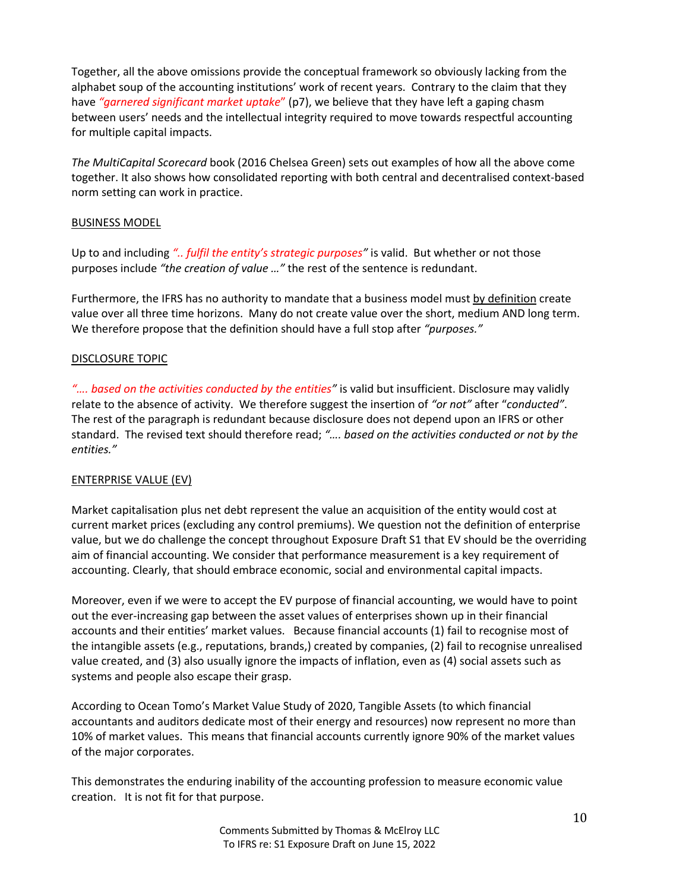Together, all the above omissions provide the conceptual framework so obviously lacking from the alphabet soup of the accounting institutions' work of recent years. Contrary to the claim that they have *"garnered significant market uptake*" (p7), we believe that they have left a gaping chasm between users' needs and the intellectual integrity required to move towards respectful accounting for multiple capital impacts.

*The MultiCapital Scorecard* book (2016 Chelsea Green) sets out examples of how all the above come together. It also shows how consolidated reporting with both central and decentralised context-based norm setting can work in practice.

#### BUSINESS MODEL

Up to and including *".. fulfil the entity's strategic purposes"* is valid. But whether or not those purposes include *"the creation of value …"* the rest of the sentence is redundant.

Furthermore, the IFRS has no authority to mandate that a business model must by definition create value over all three time horizons. Many do not create value over the short, medium AND long term. We therefore propose that the definition should have a full stop after *"purposes."*

### DISCLOSURE TOPIC

*"…. based on the activities conducted by the entities"* is valid but insufficient. Disclosure may validly relate to the absence of activity. We therefore suggest the insertion of *"or not"* after "*conducted"*. The rest of the paragraph is redundant because disclosure does not depend upon an IFRS or other standard. The revised text should therefore read; *"…. based on the activities conducted or not by the entities."*

### ENTERPRISE VALUE (EV)

Market capitalisation plus net debt represent the value an acquisition of the entity would cost at current market prices (excluding any control premiums). We question not the definition of enterprise value, but we do challenge the concept throughout Exposure Draft S1 that EV should be the overriding aim of financial accounting. We consider that performance measurement is a key requirement of accounting. Clearly, that should embrace economic, social and environmental capital impacts.

Moreover, even if we were to accept the EV purpose of financial accounting, we would have to point out the ever-increasing gap between the asset values of enterprises shown up in their financial accounts and their entities' market values. Because financial accounts (1) fail to recognise most of the intangible assets (e.g., reputations, brands,) created by companies, (2) fail to recognise unrealised value created, and (3) also usually ignore the impacts of inflation, even as (4) social assets such as systems and people also escape their grasp.

According to Ocean Tomo's Market Value Study of 2020, Tangible Assets (to which financial accountants and auditors dedicate most of their energy and resources) now represent no more than 10% of market values. This means that financial accounts currently ignore 90% of the market values of the major corporates.

This demonstrates the enduring inability of the accounting profession to measure economic value creation. It is not fit for that purpose.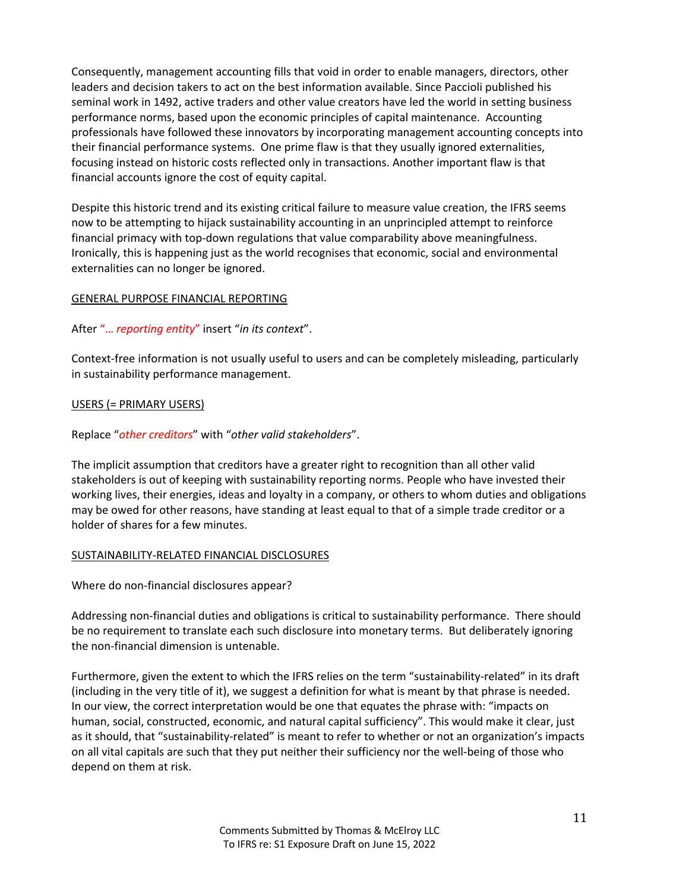Consequently, management accounting fills that void in order to enable managers, directors, other leaders and decision takers to act on the best information available. Since Paccioli published his seminal work in 1492, active traders and other value creators have led the world in setting business performance norms, based upon the economic principles of capital maintenance. Accounting professionals have followed these innovators by incorporating management accounting concepts into their financial performance systems. One prime flaw is that they usually ignored externalities, focusing instead on historic costs reflected only in transactions. Another important flaw is that financial accounts ignore the cost of equity capital.

Despite this historic trend and its existing critical failure to measure value creation, the IFRS seems now to be attempting to hijack sustainability accounting in an unprincipled attempt to reinforce financial primacy with top-down regulations that value comparability above meaningfulness. Ironically, this is happening just as the world recognises that economic, social and environmental externalities can no longer be ignored.

### GENERAL PURPOSE FINANCIAL REPORTING

#### After "… *reporting entity*" insert "*in its context*".

Context-free information is not usually useful to users and can be completely misleading, particularly in sustainability performance management.

#### USERS (= PRIMARY USERS)

### Replace "*other creditors*" with "*other valid stakeholders*".

The implicit assumption that creditors have a greater right to recognition than all other valid stakeholders is out of keeping with sustainability reporting norms. People who have invested their working lives, their energies, ideas and loyalty in a company, or others to whom duties and obligations may be owed for other reasons, have standing at least equal to that of a simple trade creditor or a holder of shares for a few minutes.

#### SUSTAINABILITY-RELATED FINANCIAL DISCLOSURES

Where do non-financial disclosures appear?

Addressing non-financial duties and obligations is critical to sustainability performance. There should be no requirement to translate each such disclosure into monetary terms. But deliberately ignoring the non-financial dimension is untenable.

Furthermore, given the extent to which the IFRS relies on the term "sustainability-related" in its draft (including in the very title of it), we suggest a definition for what is meant by that phrase is needed. In our view, the correct interpretation would be one that equates the phrase with: "impacts on human, social, constructed, economic, and natural capital sufficiency". This would make it clear, just as it should, that "sustainability-related" is meant to refer to whether or not an organization's impacts on all vital capitals are such that they put neither their sufficiency nor the well-being of those who depend on them at risk.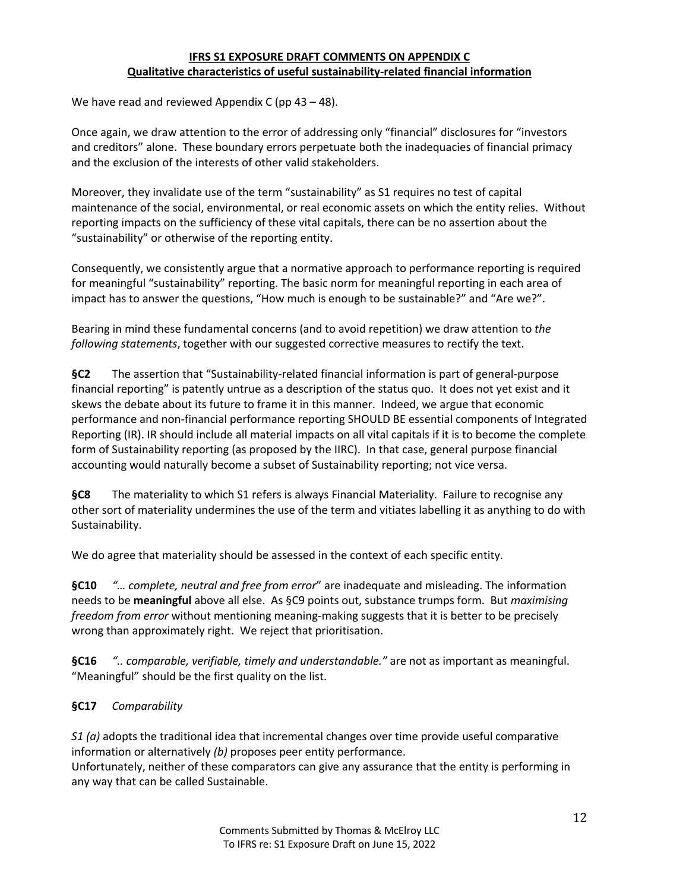### **IFRS S1 EXPOSURE DRAFT COMMENTS ON APPENDIX C Qualitative characteristics of useful sustainability-related financial information**

We have read and reviewed Appendix C (pp 43 – 48).

Once again, we draw attention to the error of addressing only "financial" disclosures for "investors and creditors" alone. These boundary errors perpetuate both the inadequacies of financial primacy and the exclusion of the interests of other valid stakeholders.

Moreover, they invalidate use of the term "sustainability" as S1 requires no test of capital maintenance of the social, environmental, or real economic assets on which the entity relies. Without reporting impacts on the sufficiency of these vital capitals, there can be no assertion about the "sustainability" or otherwise of the reporting entity.

Consequently, we consistently argue that a normative approach to performance reporting is required for meaningful "sustainability" reporting. The basic norm for meaningful reporting in each area of impact has to answer the questions, "How much is enough to be sustainable?" and "Are we?".

Bearing in mind these fundamental concerns (and to avoid repetition) we draw attention to *the following statements*, together with our suggested corrective measures to rectify the text.

**§C2** The assertion that "Sustainability-related financial information is part of general-purpose financial reporting" is patently untrue as a description of the status quo. It does not yet exist and it skews the debate about its future to frame it in this manner. Indeed, we argue that economic performance and non-financial performance reporting SHOULD BE essential components of Integrated Reporting (IR). IR should include all material impacts on all vital capitals if it is to become the complete form of Sustainability reporting (as proposed by the IIRC). In that case, general purpose financial accounting would naturally become a subset of Sustainability reporting; not vice versa.

**§C8** The materiality to which S1 refers is always Financial Materiality. Failure to recognise any other sort of materiality undermines the use of the term and vitiates labelling it as anything to do with Sustainability.

We do agree that materiality should be assessed in the context of each specific entity.

**§C10** *"… complete, neutral and free from error*" are inadequate and misleading. The information needs to be **meaningful** above all else. As §C9 points out, substance trumps form. But *maximising freedom from error* without mentioning meaning-making suggests that it is better to be precisely wrong than approximately right. We reject that prioritisation.

**§C16** *".. comparable, verifiable, timely and understandable."* are not as important as meaningful. "Meaningful" should be the first quality on the list.

# **§C17** *Comparability*

*S1 (a)* adopts the traditional idea that incremental changes over time provide useful comparative information or alternatively *(b)* proposes peer entity performance.

Unfortunately, neither of these comparators can give any assurance that the entity is performing in any way that can be called Sustainable.